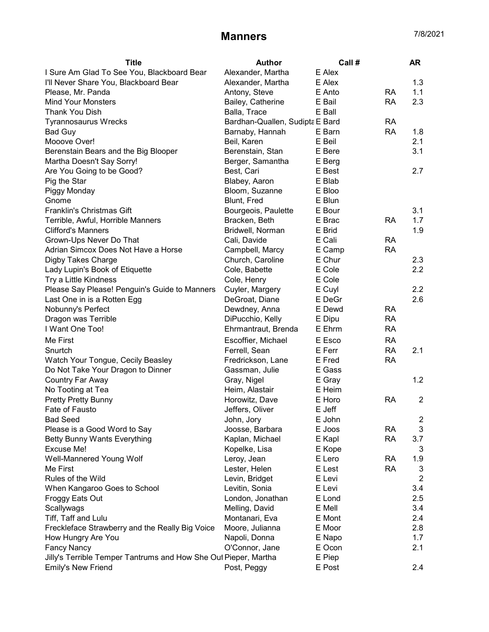## Manners 7/8/2021

| <b>Title</b>                                                    | <b>Author</b>                   | Call # |           | <b>AR</b>      |
|-----------------------------------------------------------------|---------------------------------|--------|-----------|----------------|
| I Sure Am Glad To See You, Blackboard Bear                      | Alexander, Martha               | E Alex |           |                |
| I'll Never Share You, Blackboard Bear                           | Alexander, Martha               | E Alex |           | 1.3            |
| Please, Mr. Panda                                               | Antony, Steve                   | E Anto | <b>RA</b> | 1.1            |
| <b>Mind Your Monsters</b>                                       | Bailey, Catherine               | E Bail | <b>RA</b> | 2.3            |
| <b>Thank You Dish</b>                                           | Balla, Trace                    | E Ball |           |                |
| <b>Tyrannosaurus Wrecks</b>                                     | Bardhan-Quallen, Sudipta E Bard |        | <b>RA</b> |                |
| Bad Guy                                                         | Barnaby, Hannah                 | E Barn | <b>RA</b> | 1.8            |
| Mooove Over!                                                    | Beil, Karen                     | E Beil |           | 2.1            |
| Berenstain Bears and the Big Blooper                            | Berenstain, Stan                | E Bere |           | 3.1            |
| Martha Doesn't Say Sorry!                                       | Berger, Samantha                | E Berg |           |                |
| Are You Going to be Good?                                       | Best, Cari                      | E Best |           | 2.7            |
| Pig the Star                                                    | Blabey, Aaron                   | E Blab |           |                |
| Piggy Monday                                                    | Bloom, Suzanne                  | E Bloo |           |                |
| Gnome                                                           | Blunt, Fred                     | E Blun |           |                |
| <b>Franklin's Christmas Gift</b>                                | Bourgeois, Paulette             | E Bour |           | 3.1            |
| Terrible, Awful, Horrible Manners                               | Bracken, Beth                   | E Brac | <b>RA</b> | 1.7            |
| <b>Clifford's Manners</b>                                       | Bridwell, Norman                | E Brid |           | 1.9            |
| Grown-Ups Never Do That                                         | Cali, Davide                    | E Cali | <b>RA</b> |                |
| Adrian Simcox Does Not Have a Horse                             | Campbell, Marcy                 | E Camp | <b>RA</b> |                |
| <b>Digby Takes Charge</b>                                       | Church, Caroline                | E Chur |           | 2.3            |
| Lady Lupin's Book of Etiquette                                  | Cole, Babette                   | E Cole |           | 2.2            |
| Try a Little Kindness                                           | Cole, Henry                     | E Cole |           |                |
| Please Say Please! Penguin's Guide to Manners                   | Cuyler, Margery                 | E Cuyl |           | 2.2            |
| Last One in is a Rotten Egg                                     | DeGroat, Diane                  | E DeGr |           | 2.6            |
| Nobunny's Perfect                                               | Dewdney, Anna                   | E Dewd | <b>RA</b> |                |
| Dragon was Terrible                                             | DiPucchio, Kelly                | E Dipu | <b>RA</b> |                |
| I Want One Too!                                                 | Ehrmantraut, Brenda             | E Ehrm | <b>RA</b> |                |
|                                                                 |                                 |        |           |                |
| Me First                                                        | Escoffier, Michael              | E Esco | <b>RA</b> |                |
| Snurtch                                                         | Ferrell, Sean                   | E Ferr | <b>RA</b> | 2.1            |
| Watch Your Tongue, Cecily Beasley                               | Fredrickson, Lane               | E Fred | <b>RA</b> |                |
| Do Not Take Your Dragon to Dinner                               | Gassman, Julie                  | E Gass |           |                |
| Country Far Away                                                | Gray, Nigel                     | E Gray |           | 1.2            |
| No Tooting at Tea                                               | Heim, Alastair                  | E Heim |           |                |
| <b>Pretty Pretty Bunny</b>                                      | Horowitz, Dave                  | E Horo | <b>RA</b> | $\overline{2}$ |
| Fate of Fausto                                                  | Jeffers, Oliver                 | E Jeff |           |                |
| <b>Bad Seed</b>                                                 | John, Jory                      | E John |           | 2              |
| Please is a Good Word to Say                                    | Joosse, Barbara                 | E Joos | RA        | 3              |
| <b>Betty Bunny Wants Everything</b>                             | Kaplan, Michael                 | E Kapl | <b>RA</b> | 3.7            |
| <b>Excuse Me!</b>                                               | Kopelke, Lisa                   | E Kope |           | 3              |
| Well-Mannered Young Wolf                                        | Leroy, Jean                     | E Lero | <b>RA</b> | 1.9            |
| Me First                                                        | Lester, Helen                   | E Lest | <b>RA</b> | 3              |
| Rules of the Wild                                               | Levin, Bridget                  | E Levi |           | $\overline{2}$ |
| When Kangaroo Goes to School                                    | Levitin, Sonia                  | E Levi |           | 3.4            |
| Froggy Eats Out                                                 | London, Jonathan                | E Lond |           | 2.5            |
| Scallywags                                                      | Melling, David                  | E Mell |           | 3.4            |
| Tiff, Taff and Lulu                                             | Montanari, Eva                  | E Mont |           | 2.4            |
| Freckleface Strawberry and the Really Big Voice                 | Moore, Julianna                 | E Moor |           | 2.8            |
| How Hungry Are You                                              | Napoli, Donna                   | E Napo |           | 1.7            |
| <b>Fancy Nancy</b>                                              | O'Connor, Jane                  | E Ocon |           | 2.1            |
| Jilly's Terrible Temper Tantrums and How She Out Pieper, Martha |                                 | E Piep |           |                |
| Emily's New Friend                                              | Post, Peggy                     | E Post |           | 2.4            |